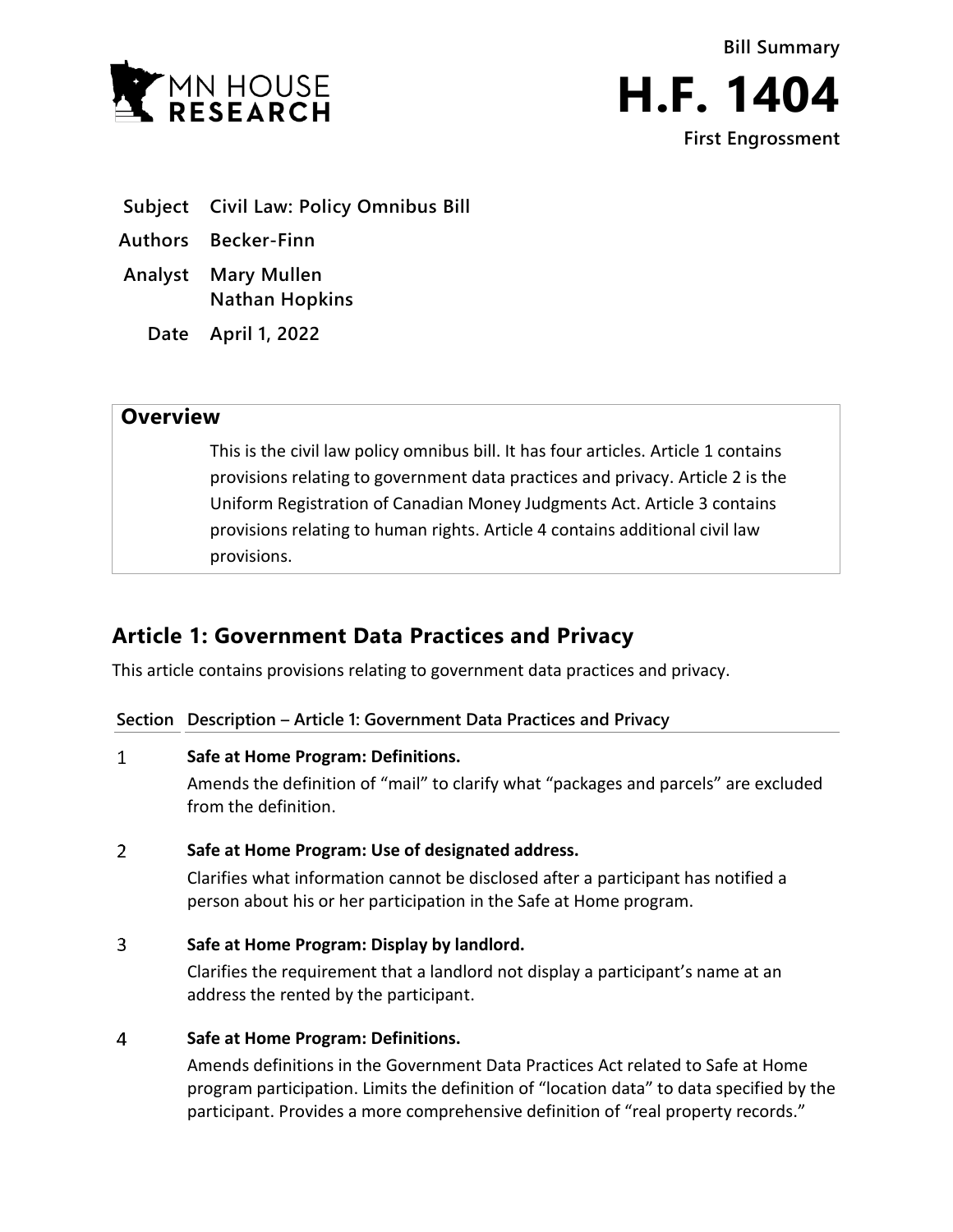



- **Subject Civil Law: Policy Omnibus Bill**
- **Authors Becker-Finn**
- **Analyst Mary Mullen Nathan Hopkins**
	- **Date April 1, 2022**

## **Overview**

This is the civil law policy omnibus bill. It has four articles. Article 1 contains provisions relating to government data practices and privacy. Article 2 is the Uniform Registration of Canadian Money Judgments Act. Article 3 contains provisions relating to human rights. Article 4 contains additional civil law provisions.

# **Article 1: Government Data Practices and Privacy**

This article contains provisions relating to government data practices and privacy.

**Section Description – Article 1: Government Data Practices and Privacy**

### $\mathbf{1}$ **Safe at Home Program: Definitions.**

Amends the definition of "mail" to clarify what "packages and parcels" are excluded from the definition.

### $\overline{2}$ **Safe at Home Program: Use of designated address.**

Clarifies what information cannot be disclosed after a participant has notified a person about his or her participation in the Safe at Home program.

3 **Safe at Home Program: Display by landlord.**

> Clarifies the requirement that a landlord not display a participant's name at an address the rented by the participant.

### $\overline{4}$ **Safe at Home Program: Definitions.**

Amends definitions in the Government Data Practices Act related to Safe at Home program participation. Limits the definition of "location data" to data specified by the participant. Provides a more comprehensive definition of "real property records."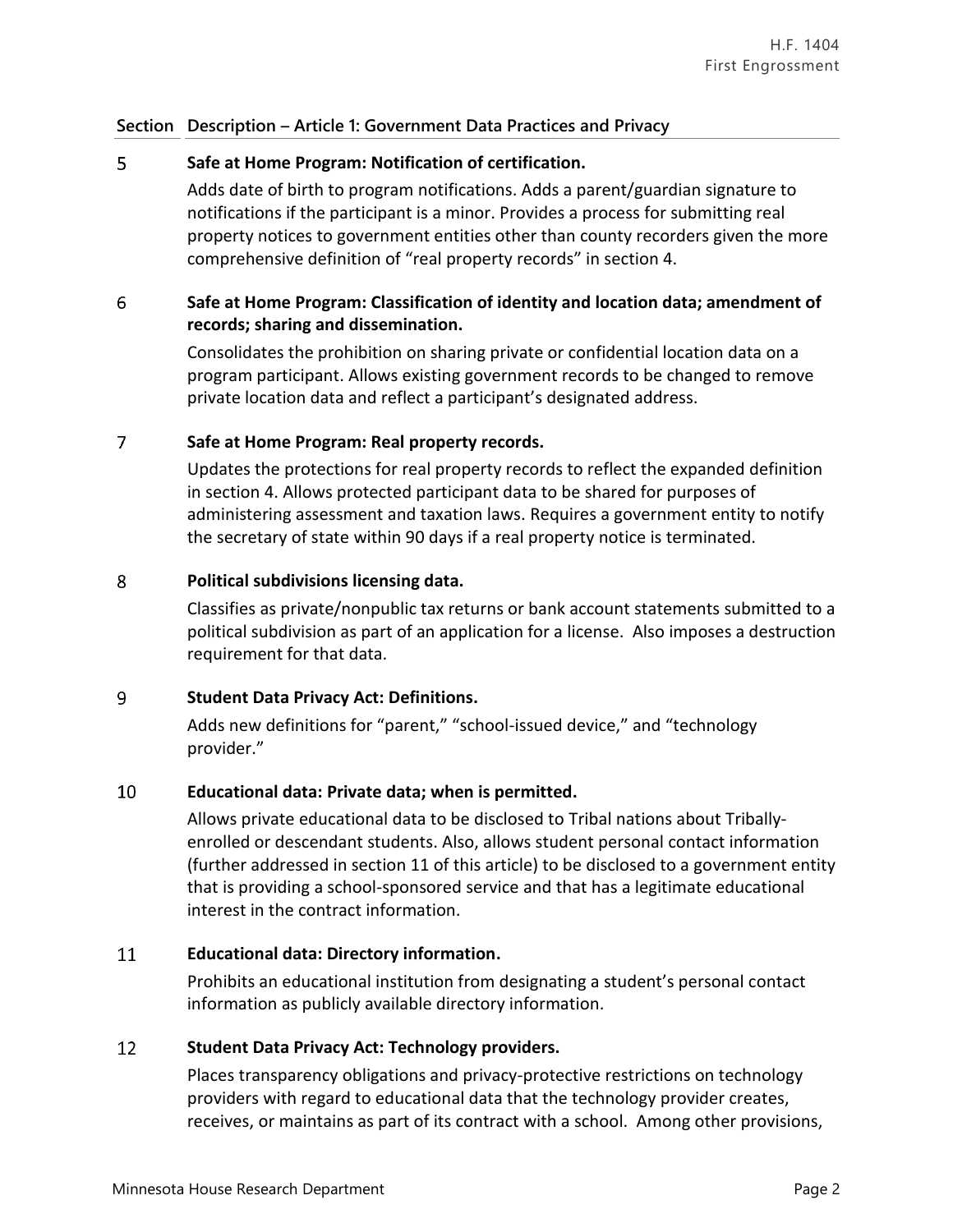## **Section Description – Article 1: Government Data Practices and Privacy**

### 5 **Safe at Home Program: Notification of certification.**

Adds date of birth to program notifications. Adds a parent/guardian signature to notifications if the participant is a minor. Provides a process for submitting real property notices to government entities other than county recorders given the more comprehensive definition of "real property records" in section 4.

### 6 **Safe at Home Program: Classification of identity and location data; amendment of records; sharing and dissemination.**

Consolidates the prohibition on sharing private or confidential location data on a program participant. Allows existing government records to be changed to remove private location data and reflect a participant's designated address.

### $\overline{7}$ **Safe at Home Program: Real property records.**

Updates the protections for real property records to reflect the expanded definition in section 4. Allows protected participant data to be shared for purposes of administering assessment and taxation laws. Requires a government entity to notify the secretary of state within 90 days if a real property notice is terminated.

### 8 **Political subdivisions licensing data.**

Classifies as private/nonpublic tax returns or bank account statements submitted to a political subdivision as part of an application for a license. Also imposes a destruction requirement for that data.

### 9 **Student Data Privacy Act: Definitions.**

Adds new definitions for "parent," "school-issued device," and "technology provider."

### 10 **Educational data: Private data; when is permitted.**

Allows private educational data to be disclosed to Tribal nations about Triballyenrolled or descendant students. Also, allows student personal contact information (further addressed in section 11 of this article) to be disclosed to a government entity that is providing a school-sponsored service and that has a legitimate educational interest in the contract information.

### 11 **Educational data: Directory information.**

Prohibits an educational institution from designating a student's personal contact information as publicly available directory information.

### 12 **Student Data Privacy Act: Technology providers.**

Places transparency obligations and privacy-protective restrictions on technology providers with regard to educational data that the technology provider creates, receives, or maintains as part of its contract with a school. Among other provisions,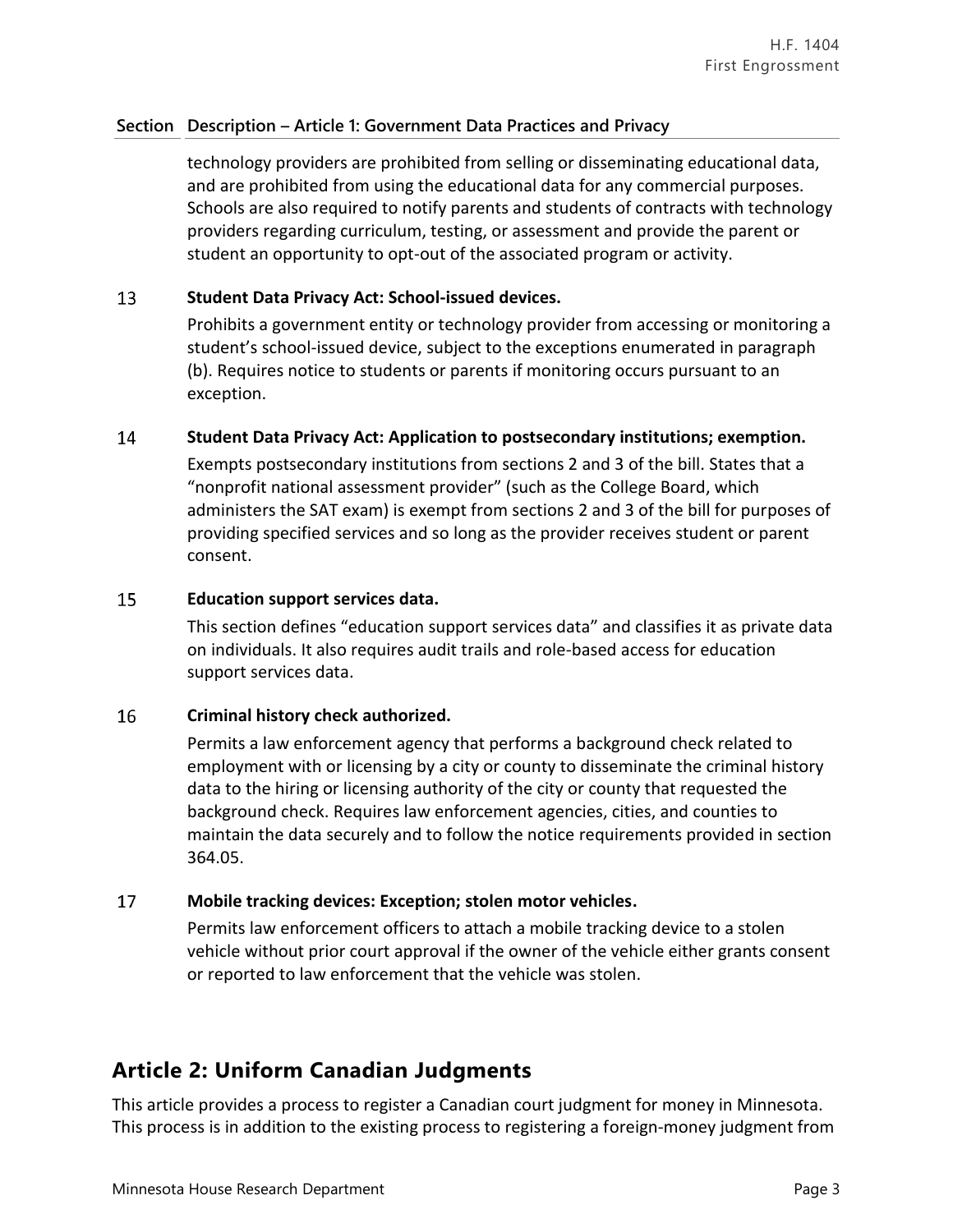## **Section Description – Article 1: Government Data Practices and Privacy**

technology providers are prohibited from selling or disseminating educational data, and are prohibited from using the educational data for any commercial purposes. Schools are also required to notify parents and students of contracts with technology providers regarding curriculum, testing, or assessment and provide the parent or student an opportunity to opt-out of the associated program or activity.

### 13 **Student Data Privacy Act: School-issued devices.**

Prohibits a government entity or technology provider from accessing or monitoring a student's school-issued device, subject to the exceptions enumerated in paragraph (b). Requires notice to students or parents if monitoring occurs pursuant to an exception.

### 14 **Student Data Privacy Act: Application to postsecondary institutions; exemption.**

Exempts postsecondary institutions from sections 2 and 3 of the bill. States that a "nonprofit national assessment provider" (such as the College Board, which administers the SAT exam) is exempt from sections 2 and 3 of the bill for purposes of providing specified services and so long as the provider receives student or parent consent.

### 15 **Education support services data.**

This section defines "education support services data" and classifies it as private data on individuals. It also requires audit trails and role-based access for education support services data.

### 16 **Criminal history check authorized.**

Permits a law enforcement agency that performs a background check related to employment with or licensing by a city or county to disseminate the criminal history data to the hiring or licensing authority of the city or county that requested the background check. Requires law enforcement agencies, cities, and counties to maintain the data securely and to follow the notice requirements provided in section 364.05.

### 17 **Mobile tracking devices: Exception; stolen motor vehicles.**

Permits law enforcement officers to attach a mobile tracking device to a stolen vehicle without prior court approval if the owner of the vehicle either grants consent or reported to law enforcement that the vehicle was stolen.

## **Article 2: Uniform Canadian Judgments**

This article provides a process to register a Canadian court judgment for money in Minnesota. This process is in addition to the existing process to registering a foreign-money judgment from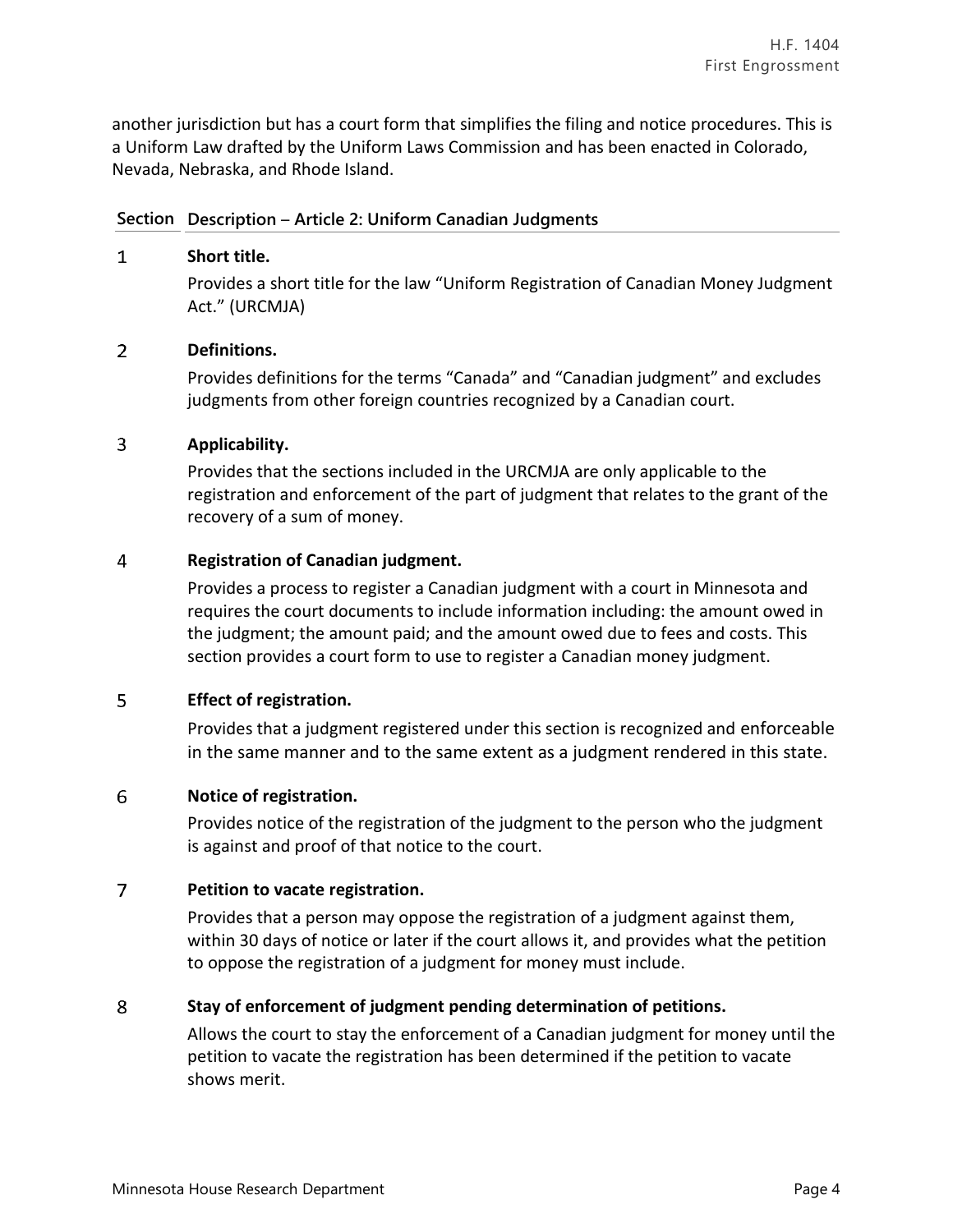another jurisdiction but has a court form that simplifies the filing and notice procedures. This is a Uniform Law drafted by the Uniform Laws Commission and has been enacted in Colorado, Nevada, Nebraska, and Rhode Island.

### **Section Description** – **Article 2: Uniform Canadian Judgments**

### $\mathbf{1}$ **Short title.**

Provides a short title for the law "Uniform Registration of Canadian Money Judgment Act." (URCMJA)

### $\overline{2}$ **Definitions.**

Provides definitions for the terms "Canada" and "Canadian judgment" and excludes judgments from other foreign countries recognized by a Canadian court.

### 3 **Applicability.**

Provides that the sections included in the URCMJA are only applicable to the registration and enforcement of the part of judgment that relates to the grant of the recovery of a sum of money.

### 4 **Registration of Canadian judgment.**

Provides a process to register a Canadian judgment with a court in Minnesota and requires the court documents to include information including: the amount owed in the judgment; the amount paid; and the amount owed due to fees and costs. This section provides a court form to use to register a Canadian money judgment.

### 5 **Effect of registration.**

Provides that a judgment registered under this section is recognized and enforceable in the same manner and to the same extent as a judgment rendered in this state.

### 6 **Notice of registration.**

Provides notice of the registration of the judgment to the person who the judgment is against and proof of that notice to the court.

### $\overline{7}$ **Petition to vacate registration.**

Provides that a person may oppose the registration of a judgment against them, within 30 days of notice or later if the court allows it, and provides what the petition to oppose the registration of a judgment for money must include.

### 8 **Stay of enforcement of judgment pending determination of petitions.**

Allows the court to stay the enforcement of a Canadian judgment for money until the petition to vacate the registration has been determined if the petition to vacate shows merit.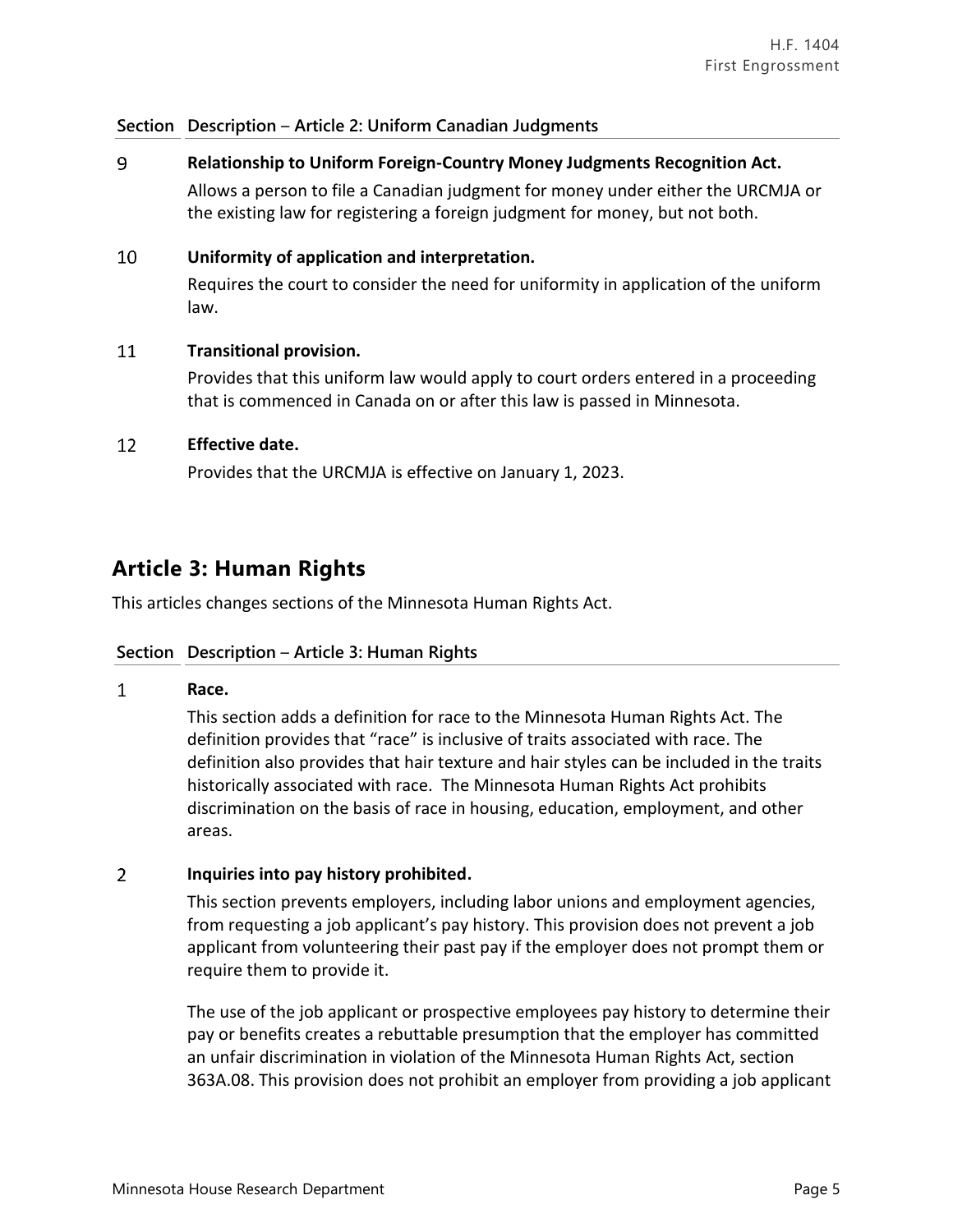### **Section Description** – **Article 2: Uniform Canadian Judgments**

9 **Relationship to Uniform Foreign-Country Money Judgments Recognition Act.** Allows a person to file a Canadian judgment for money under either the URCMJA or the existing law for registering a foreign judgment for money, but not both.

#### 10 **Uniformity of application and interpretation.**

Requires the court to consider the need for uniformity in application of the uniform law.

#### 11 **Transitional provision.**

Provides that this uniform law would apply to court orders entered in a proceeding that is commenced in Canada on or after this law is passed in Minnesota.

#### 12 **Effective date.**

Provides that the URCMJA is effective on January 1, 2023.

## **Article 3: Human Rights**

This articles changes sections of the Minnesota Human Rights Act.

### **Section Description** – **Article 3: Human Rights**

### $\mathbf{1}$ **Race.**

This section adds a definition for race to the Minnesota Human Rights Act. The definition provides that "race" is inclusive of traits associated with race. The definition also provides that hair texture and hair styles can be included in the traits historically associated with race. The Minnesota Human Rights Act prohibits discrimination on the basis of race in housing, education, employment, and other areas.

### $\overline{2}$ **Inquiries into pay history prohibited.**

This section prevents employers, including labor unions and employment agencies, from requesting a job applicant's pay history. This provision does not prevent a job applicant from volunteering their past pay if the employer does not prompt them or require them to provide it.

The use of the job applicant or prospective employees pay history to determine their pay or benefits creates a rebuttable presumption that the employer has committed an unfair discrimination in violation of the Minnesota Human Rights Act, section 363A.08. This provision does not prohibit an employer from providing a job applicant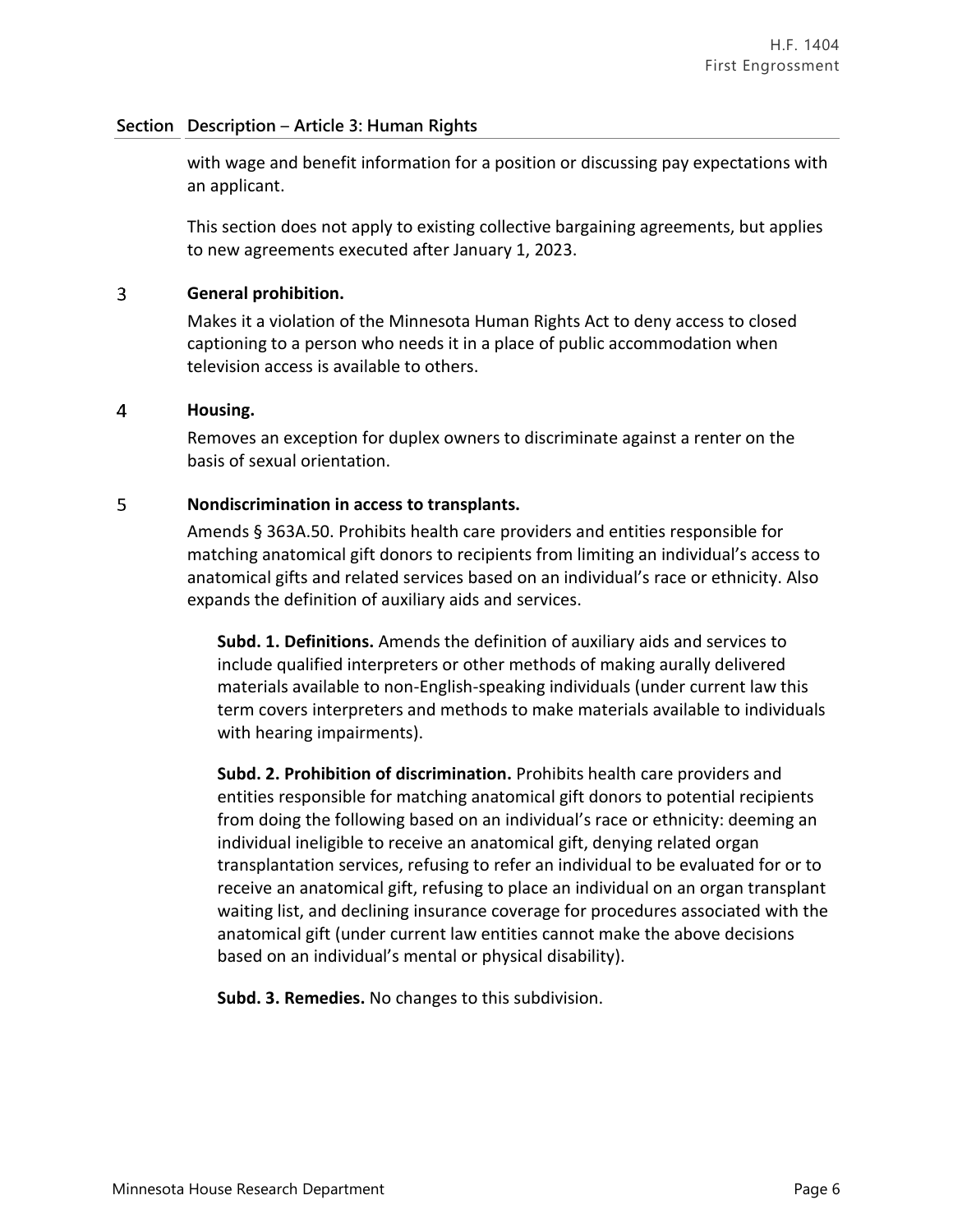### **Section Description** – **Article 3: Human Rights**

with wage and benefit information for a position or discussing pay expectations with an applicant.

This section does not apply to existing collective bargaining agreements, but applies to new agreements executed after January 1, 2023.

### $\overline{3}$ **General prohibition.**

Makes it a violation of the Minnesota Human Rights Act to deny access to closed captioning to a person who needs it in a place of public accommodation when television access is available to others.

### $\overline{4}$ **Housing.**

Removes an exception for duplex owners to discriminate against a renter on the basis of sexual orientation.

### 5 **Nondiscrimination in access to transplants.**

Amends § 363A.50. Prohibits health care providers and entities responsible for matching anatomical gift donors to recipients from limiting an individual's access to anatomical gifts and related services based on an individual's race or ethnicity. Also expands the definition of auxiliary aids and services.

**Subd. 1. Definitions.** Amends the definition of auxiliary aids and services to include qualified interpreters or other methods of making aurally delivered materials available to non-English-speaking individuals (under current law this term covers interpreters and methods to make materials available to individuals with hearing impairments).

**Subd. 2. Prohibition of discrimination.** Prohibits health care providers and entities responsible for matching anatomical gift donors to potential recipients from doing the following based on an individual's race or ethnicity: deeming an individual ineligible to receive an anatomical gift, denying related organ transplantation services, refusing to refer an individual to be evaluated for or to receive an anatomical gift, refusing to place an individual on an organ transplant waiting list, and declining insurance coverage for procedures associated with the anatomical gift (under current law entities cannot make the above decisions based on an individual's mental or physical disability).

**Subd. 3. Remedies.** No changes to this subdivision.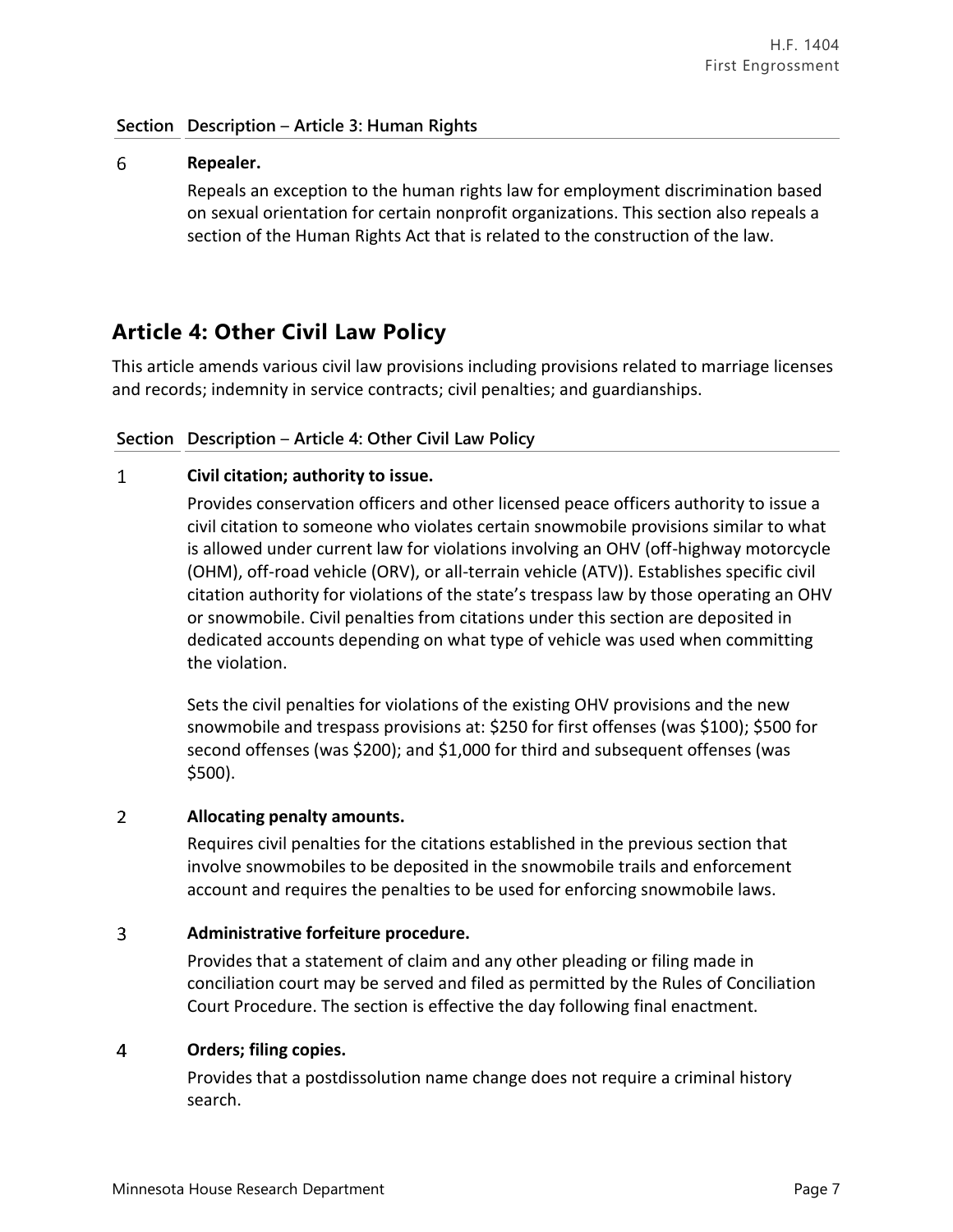### **Section Description** – **Article 3: Human Rights**

### 6 **Repealer.**

Repeals an exception to the human rights law for employment discrimination based on sexual orientation for certain nonprofit organizations. This section also repeals a section of the Human Rights Act that is related to the construction of the law.

## **Article 4: Other Civil Law Policy**

This article amends various civil law provisions including provisions related to marriage licenses and records; indemnity in service contracts; civil penalties; and guardianships.

### **Section Description** – **Article 4: Other Civil Law Policy**

### $\mathbf{1}$ **Civil citation; authority to issue.**

Provides conservation officers and other licensed peace officers authority to issue a civil citation to someone who violates certain snowmobile provisions similar to what is allowed under current law for violations involving an OHV (off-highway motorcycle (OHM), off-road vehicle (ORV), or all-terrain vehicle (ATV)). Establishes specific civil citation authority for violations of the state's trespass law by those operating an OHV or snowmobile. Civil penalties from citations under this section are deposited in dedicated accounts depending on what type of vehicle was used when committing the violation.

Sets the civil penalties for violations of the existing OHV provisions and the new snowmobile and trespass provisions at: \$250 for first offenses (was \$100); \$500 for second offenses (was \$200); and \$1,000 for third and subsequent offenses (was \$500).

### $\overline{2}$ **Allocating penalty amounts.**

Requires civil penalties for the citations established in the previous section that involve snowmobiles to be deposited in the snowmobile trails and enforcement account and requires the penalties to be used for enforcing snowmobile laws.

### $\overline{3}$ **Administrative forfeiture procedure.**

Provides that a statement of claim and any other pleading or filing made in conciliation court may be served and filed as permitted by the Rules of Conciliation Court Procedure. The section is effective the day following final enactment.

### $\overline{4}$ **Orders; filing copies.**

Provides that a postdissolution name change does not require a criminal history search.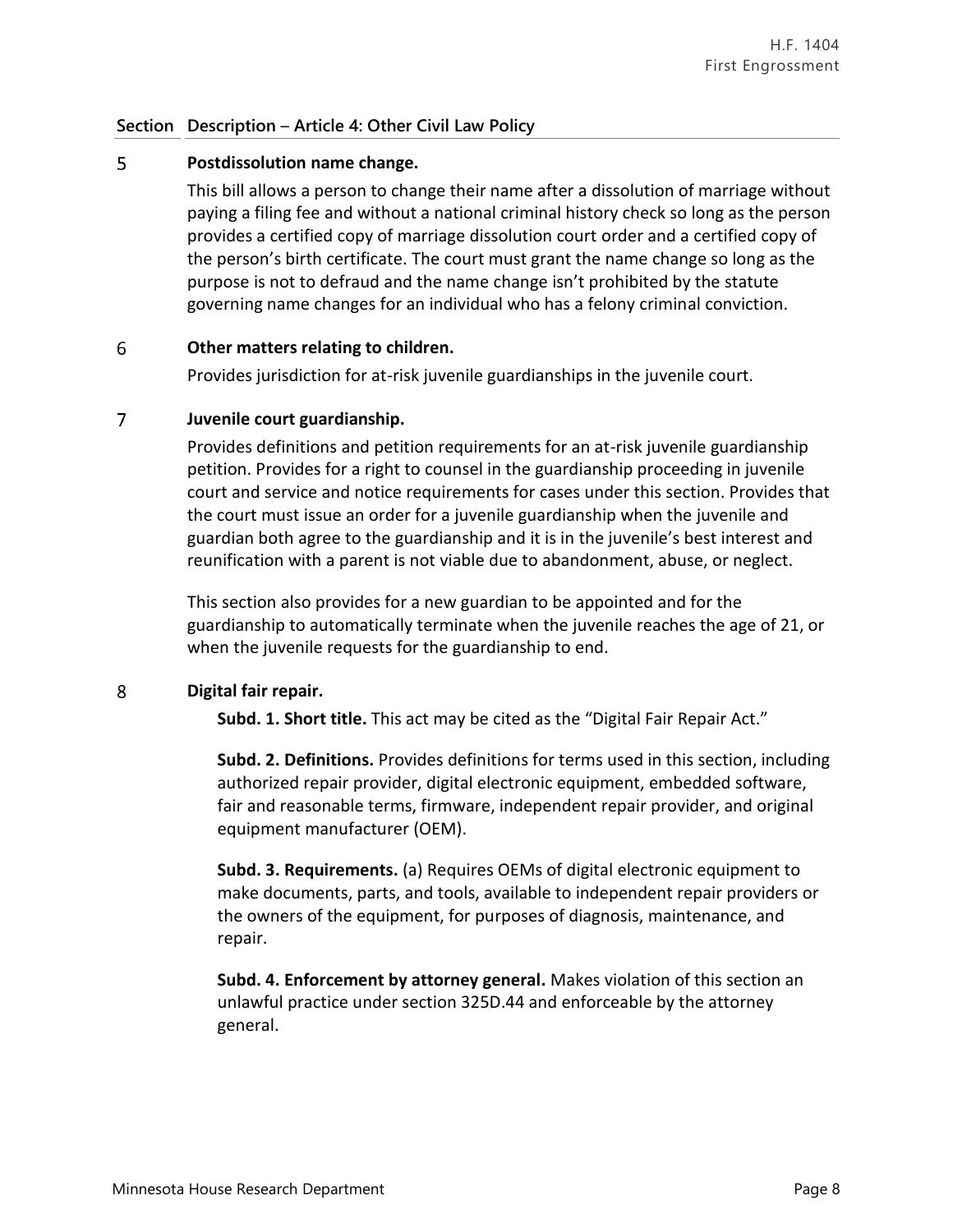### **Section Description** – **Article 4: Other Civil Law Policy**

### 5 **Postdissolution name change.**

This bill allows a person to change their name after a dissolution of marriage without paying a filing fee and without a national criminal history check so long as the person provides a certified copy of marriage dissolution court order and a certified copy of the person's birth certificate. The court must grant the name change so long as the purpose is not to defraud and the name change isn't prohibited by the statute governing name changes for an individual who has a felony criminal conviction.

### 6 **Other matters relating to children.**

Provides jurisdiction for at-risk juvenile guardianships in the juvenile court.

### $\overline{7}$ **Juvenile court guardianship.**

Provides definitions and petition requirements for an at-risk juvenile guardianship petition. Provides for a right to counsel in the guardianship proceeding in juvenile court and service and notice requirements for cases under this section. Provides that the court must issue an order for a juvenile guardianship when the juvenile and guardian both agree to the guardianship and it is in the juvenile's best interest and reunification with a parent is not viable due to abandonment, abuse, or neglect.

This section also provides for a new guardian to be appointed and for the guardianship to automatically terminate when the juvenile reaches the age of 21, or when the juvenile requests for the guardianship to end.

### 8 **Digital fair repair.**

**Subd. 1. Short title.** This act may be cited as the "Digital Fair Repair Act."

**Subd. 2. Definitions.** Provides definitions for terms used in this section, including authorized repair provider, digital electronic equipment, embedded software, fair and reasonable terms, firmware, independent repair provider, and original equipment manufacturer (OEM).

**Subd. 3. Requirements.** (a) Requires OEMs of digital electronic equipment to make documents, parts, and tools, available to independent repair providers or the owners of the equipment, for purposes of diagnosis, maintenance, and repair.

**Subd. 4. Enforcement by attorney general.** Makes violation of this section an unlawful practice under section 325D.44 and enforceable by the attorney general.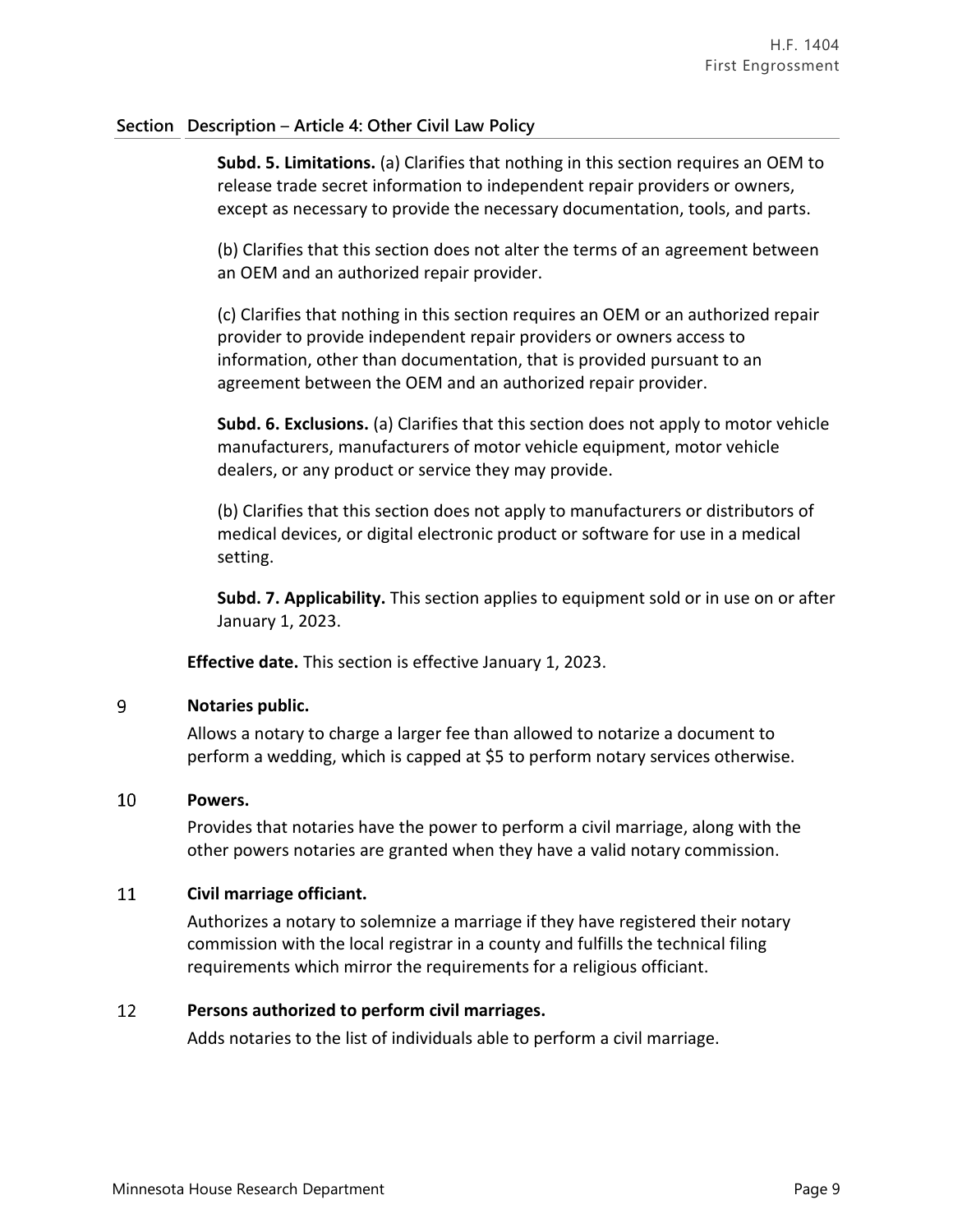### **Section Description** – **Article 4: Other Civil Law Policy**

**Subd. 5. Limitations.** (a) Clarifies that nothing in this section requires an OEM to release trade secret information to independent repair providers or owners, except as necessary to provide the necessary documentation, tools, and parts.

(b) Clarifies that this section does not alter the terms of an agreement between an OEM and an authorized repair provider.

(c) Clarifies that nothing in this section requires an OEM or an authorized repair provider to provide independent repair providers or owners access to information, other than documentation, that is provided pursuant to an agreement between the OEM and an authorized repair provider.

**Subd. 6. Exclusions.** (a) Clarifies that this section does not apply to motor vehicle manufacturers, manufacturers of motor vehicle equipment, motor vehicle dealers, or any product or service they may provide.

(b) Clarifies that this section does not apply to manufacturers or distributors of medical devices, or digital electronic product or software for use in a medical setting.

**Subd. 7. Applicability.** This section applies to equipment sold or in use on or after January 1, 2023.

**Effective date.** This section is effective January 1, 2023.

### 9 **Notaries public.**

Allows a notary to charge a larger fee than allowed to notarize a document to perform a wedding, which is capped at \$5 to perform notary services otherwise.

### 10 **Powers.**

Provides that notaries have the power to perform a civil marriage, along with the other powers notaries are granted when they have a valid notary commission.

### 11 **Civil marriage officiant.**

Authorizes a notary to solemnize a marriage if they have registered their notary commission with the local registrar in a county and fulfills the technical filing requirements which mirror the requirements for a religious officiant.

### 12 **Persons authorized to perform civil marriages.**

Adds notaries to the list of individuals able to perform a civil marriage.